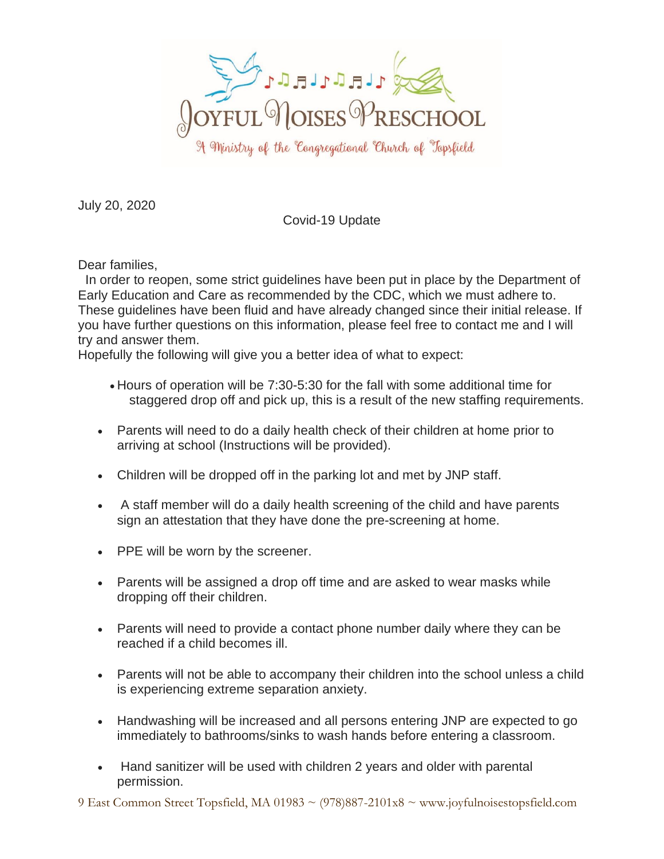

July 20, 2020

## Covid-19 Update

Dear families,

 In order to reopen, some strict guidelines have been put in place by the Department of Early Education and Care as recommended by the CDC, which we must adhere to. These guidelines have been fluid and have already changed since their initial release. If you have further questions on this information, please feel free to contact me and I will try and answer them.

Hopefully the following will give you a better idea of what to expect:

- Hours of operation will be 7:30-5:30 for the fall with some additional time for staggered drop off and pick up, this is a result of the new staffing requirements.
- Parents will need to do a daily health check of their children at home prior to arriving at school (Instructions will be provided).
- Children will be dropped off in the parking lot and met by JNP staff.
- A staff member will do a daily health screening of the child and have parents sign an attestation that they have done the pre-screening at home.
- PPE will be worn by the screener.
- Parents will be assigned a drop off time and are asked to wear masks while dropping off their children.
- Parents will need to provide a contact phone number daily where they can be reached if a child becomes ill.
- Parents will not be able to accompany their children into the school unless a child is experiencing extreme separation anxiety.
- Handwashing will be increased and all persons entering JNP are expected to go immediately to bathrooms/sinks to wash hands before entering a classroom.
- Hand sanitizer will be used with children 2 years and older with parental permission.